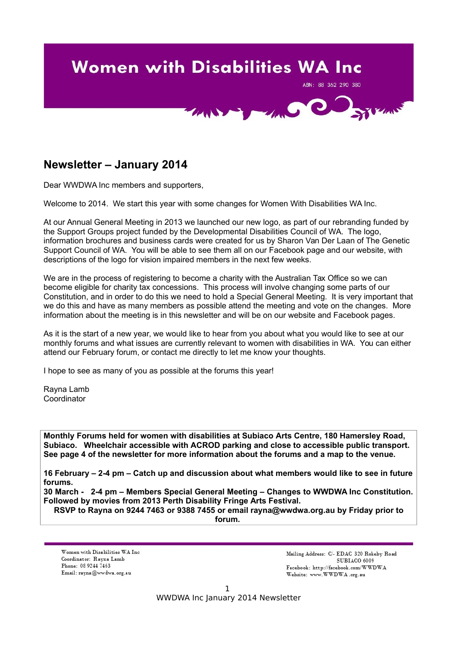# **Women with Disabilities WA Inc** ABN: 88 362 290 380 **COMMON COMMENT**

## **Newsletter – January 2014**

Dear WWDWA Inc members and supporters,

Welcome to 2014. We start this year with some changes for Women With Disabilities WA Inc.

At our Annual General Meeting in 2013 we launched our new logo, as part of our rebranding funded by the Support Groups project funded by the Developmental Disabilities Council of WA. The logo, information brochures and business cards were created for us by Sharon Van Der Laan of The Genetic Support Council of WA. You will be able to see them all on our Facebook page and our website, with descriptions of the logo for vision impaired members in the next few weeks.

We are in the process of registering to become a charity with the Australian Tax Office so we can become eligible for charity tax concessions. This process will involve changing some parts of our Constitution, and in order to do this we need to hold a Special General Meeting. It is very important that we do this and have as many members as possible attend the meeting and vote on the changes. More information about the meeting is in this newsletter and will be on our website and Facebook pages.

As it is the start of a new year, we would like to hear from you about what you would like to see at our monthly forums and what issues are currently relevant to women with disabilities in WA. You can either attend our February forum, or contact me directly to let me know your thoughts.

I hope to see as many of you as possible at the forums this year!

Rayna Lamb **Coordinator** 

**Monthly Forums held for women with disabilities at Subiaco Arts Centre, 180 Hamersley Road, Subiaco. Wheelchair accessible with ACROD parking and close to accessible public transport. See page 4 of the newsletter for more information about the forums and a map to the venue.**

**16 February – 2-4 pm – Catch up and discussion about what members would like to see in future forums.**

**30 March - 2-4 pm – Members Special General Meeting – Changes to WWDWA Inc Constitution. Followed by movies from 2013 Perth Disability Fringe Arts Festival.**

**RSVP to Rayna on 9244 7463 or 9388 7455 or email rayna@wwdwa.org.au by Friday prior to forum.**

Women with Disabilities WA Inc. Coordinator: Rayna Lamb Phone: 08 9244 7463 Email: rayna@wwdwa.org.au

Mailing Address: C/- EDAC 320 Rokeby Road SUBIACO 6009 Facebook: http://facebook.com/WWDWA Website: www.WWDWA.org.au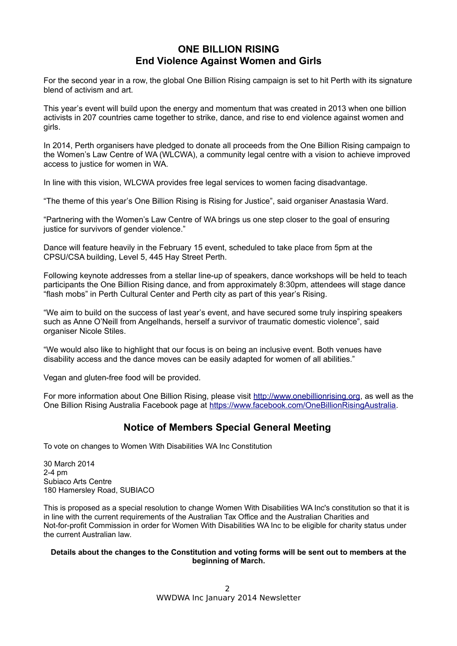## **ONE BILLION RISING End Violence Against Women and Girls**

For the second year in a row, the global One Billion Rising campaign is set to hit Perth with its signature blend of activism and art.

This year's event will build upon the energy and momentum that was created in 2013 when one billion activists in 207 countries came together to strike, dance, and rise to end violence against women and girls.

In 2014, Perth organisers have pledged to donate all proceeds from the One Billion Rising campaign to the Women's Law Centre of WA (WLCWA), a community legal centre with a vision to achieve improved access to justice for women in WA.

In line with this vision, WLCWA provides free legal services to women facing disadvantage.

"The theme of this year's One Billion Rising is Rising for Justice", said organiser Anastasia Ward.

"Partnering with the Women's Law Centre of WA brings us one step closer to the goal of ensuring justice for survivors of gender violence."

Dance will feature heavily in the February 15 event, scheduled to take place from 5pm at the CPSU/CSA building, Level 5, 445 Hay Street Perth.

Following keynote addresses from a stellar line-up of speakers, dance workshops will be held to teach participants the One Billion Rising dance, and from approximately 8:30pm, attendees will stage dance "flash mobs" in Perth Cultural Center and Perth city as part of this year's Rising.

"We aim to build on the success of last year's event, and have secured some truly inspiring speakers such as Anne O'Neill from Angelhands, herself a survivor of traumatic domestic violence", said organiser Nicole Stiles.

"We would also like to highlight that our focus is on being an inclusive event. Both venues have disability access and the dance moves can be easily adapted for women of all abilities."

Vegan and gluten-free food will be provided.

For more information about One Billion Rising, please visit [http://www.onebillionrising.org,](http://www.onebillionrising.org/) as well as the One Billion Rising Australia Facebook page at [https://www.facebook.com/OneBillionRisingAustralia.](https://www.facebook.com/OneBillionRisingAustralia)

## **Notice of Members Special General Meeting**

To vote on changes to Women With Disabilities WA Inc Constitution

30 March 2014 2-4 pm Subiaco Arts Centre 180 Hamersley Road, SUBIACO

This is proposed as a special resolution to change Women With Disabilities WA Inc's constitution so that it is in line with the current requirements of the Australian Tax Office and the Australian Charities and Not-for-profit Commission in order for Women With Disabilities WA Inc to be eligible for charity status under the current Australian law.

#### **Details about the changes to the Constitution and voting forms will be sent out to members at the beginning of March.**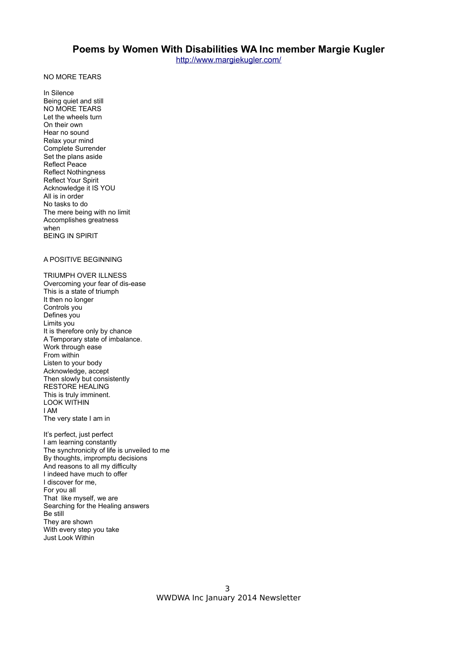NO MORE TEARS

In Silence Being quiet and still NO MORE TEARS Let the wheels turn On their own Hear no sound Relax your mind Complete Surrender Set the plans aside Reflect Peace Reflect Nothingness Reflect Your Spirit Acknowledge it IS YOU All is in order No tasks to do The mere being with no limit Accomplishes greatness when BEING IN SPIRIT

#### A POSITIVE BEGINNING

TRIUMPH OVER ILLNESS Overcoming your fear of dis-ease This is a state of triumph It then no longer Controls you Defines you Limits you It is therefore only by chance A Temporary state of imbalance. Work through ease From within Listen to your body Acknowledge, accept Then slowly but consistently RESTORE HEALING This is truly imminent. LOOK WITHIN I AM The very state I am in

It's perfect, just perfect I am learning constantly The synchronicity of life is unveiled to me By thoughts, impromptu decisions And reasons to all my difficulty I indeed have much to offer I discover for me, For you all That like myself, we are Searching for the Healing answers Be still They are shown With every step you take Just Look Within